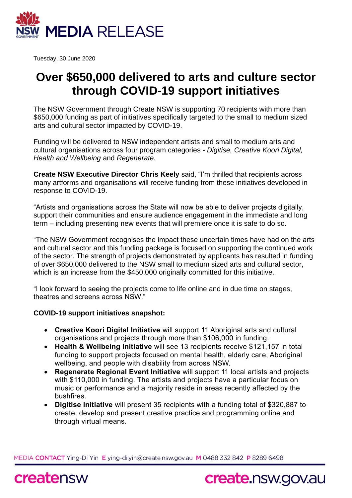

Tuesday, 30 June 2020

## **Over \$650,000 delivered to arts and culture sector through COVID-19 support initiatives**

The NSW Government through Create NSW is supporting 70 recipients with more than \$650,000 funding as part of initiatives specifically targeted to the small to medium sized arts and cultural sector impacted by COVID-19.

Funding will be delivered to NSW independent artists and small to medium arts and cultural organisations across four program categories - *Digitise, Creative Koori Digital, Health and Wellbeing* and *Regenerate.*

**Create NSW Executive Director Chris Keely** said, "I'm thrilled that recipients across many artforms and organisations will receive funding from these initiatives developed in response to COVID-19.

"Artists and organisations across the State will now be able to deliver projects digitally, support their communities and ensure audience engagement in the immediate and long term – including presenting new events that will premiere once it is safe to do so.

"The NSW Government recognises the impact these uncertain times have had on the arts and cultural sector and this funding package is focused on supporting the continued work of the sector. The strength of projects demonstrated by applicants has resulted in funding of over \$650,000 delivered to the NSW small to medium sized arts and cultural sector, which is an increase from the \$450,000 originally committed for this initiative.

"I look forward to seeing the projects come to life online and in due time on stages, theatres and screens across NSW."

## **COVID-19 support initiatives snapshot:**

- **Creative Koori Digital Initiative** will support 11 Aboriginal arts and cultural organisations and projects through more than \$106,000 in funding.
- **Health & Wellbeing Initiative** will see 13 recipients receive \$121,157 in total funding to support projects focused on mental health, elderly care, Aboriginal wellbeing, and people with disability from across NSW.
- **Regenerate Regional Event Initiative** will support 11 local artists and projects with \$110,000 in funding. The artists and projects have a particular focus on music or performance and a majority reside in areas recently affected by the bushfires.
- **Digitise Initiative** will present 35 recipients with a funding total of \$320,887 to create, develop and present creative practice and programming online and through virtual means.

MEDIA CONTACT Ying-Di Yin E ying-di.yin@create.nsw.gov.au M 0488 332 842 P 8289 6498



## create nsw.gov.au